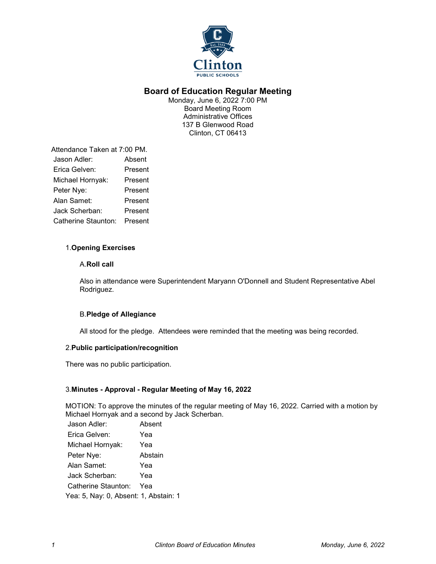

# **Board of Education Regular Meeting**

Monday, June 6, 2022 7:00 PM Board Meeting Room Administrative Offices 137 B Glenwood Road Clinton, CT 06413

Attendance Taken at 7:00 PM. Jason Adler: Absent Erica Gelven: Present Michael Hornyak: Present Peter Nye: Present Alan Samet: Present Jack Scherban: Present Catherine Staunton: Present

# 1.**Opening Exercises**

# A.**Roll call**

Also in attendance were Superintendent Maryann O'Donnell and Student Representative Abel Rodriguez.

# B.**Pledge of Allegiance**

All stood for the pledge. Attendees were reminded that the meeting was being recorded.

### 2.**Public participation/recognition**

There was no public participation.

# 3.**Minutes - Approval - Regular Meeting of May 16, 2022**

MOTION: To approve the minutes of the regular meeting of May 16, 2022. Carried with a motion by Michael Hornyak and a second by Jack Scherban.

| Jason Adler:                          | Absent  |
|---------------------------------------|---------|
| Erica Gelven:                         | Yea     |
| Michael Hornyak:                      | Yea     |
| Peter Nye:                            | Abstain |
| Alan Samet:                           | Yea     |
| Jack Scherban:                        | Yea     |
| Catherine Staunton:                   | Yea     |
| Yea: 5, Nay: 0, Absent: 1, Abstain: 1 |         |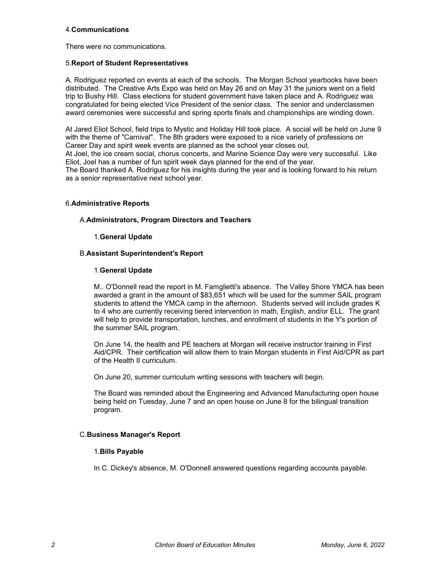# 4.**Communications**

There were no communications.

### 5.**Report of Student Representatives**

A. Rodriguez reported on events at each of the schools. The Morgan School yearbooks have been distributed. The Creative Arts Expo was held on May 26 and on May 31 the juniors went on a field trip to Bushy Hill. Class elections for student government have taken place and A. Rodriguez was congratulated for being elected Vice President of the senior class. The senior and underclassmen award ceremonies were successful and spring sports finals and championships are winding down.

At Jared Eliot School, field trips to Mystic and Holiday Hill took place. A social will be held on June 9 with the theme of "Carnival". The 8th graders were exposed to a nice variety of professions on Career Day and spirit week events are planned as the school year closes out.

At Joel, the ice cream social, chorus concerts, and Marine Science Day were very successful. Like Eliot, Joel has a number of fun spirit week days planned for the end of the year.

The Board thanked A. Rodriguez for his insights during the year and is looking forward to his return as a senior representative next school year.

#### 6.**Administrative Reports**

#### A.**Administrators, Program Directors and Teachers**

### 1.**General Update**

#### B.**Assistant Superintendent's Report**

#### 1.**General Update**

M.. O'Donnell read the report in M. Famglietti's absence. The Valley Shore YMCA has been awarded a grant in the amount of \$83,651 which will be used for the summer SAIL program students to attend the YMCA camp in the afternoon. Students served will include grades K to 4 who are currently receiving tiered intervention in math, English, and/or ELL. The grant will help to provide transportation, lunches, and enrollment of students in the Y's portion of the summer SAIL program.

On June 14, the health and PE teachers at Morgan will receive instructor training in First Aid/CPR. Their certification will allow them to train Morgan students in First Aid/CPR as part of the Health II curriculum.

On June 20, summer curriculum writing sessions with teachers will begin.

The Board was reminded about the Engineering and Advanced Manufacturing open house being held on Tuesday, June 7 and an open house on June 8 for the bilingual transition program.

### C.**Business Manager's Report**

#### 1.**Bills Payable**

In C. Dickey's absence, M. O'Donnell answered questions regarding accounts payable.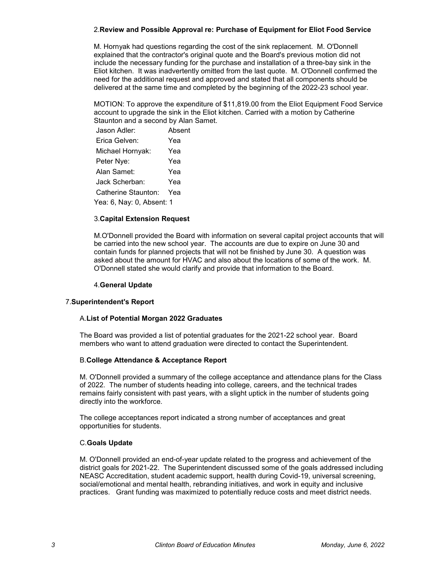# 2.**Review and Possible Approval re: Purchase of Equipment for Eliot Food Service**

M. Hornyak had questions regarding the cost of the sink replacement. M. O'Donnell explained that the contractor's original quote and the Board's previous motion did not include the necessary funding for the purchase and installation of a three-bay sink in the Eliot kitchen. It was inadvertently omitted from the last quote. M. O'Donnell confirmed the need for the additional request and approved and stated that all components should be delivered at the same time and completed by the beginning of the 2022-23 school year.

MOTION: To approve the expenditure of \$11,819.00 from the Eliot Equipment Food Service account to upgrade the sink in the Eliot kitchen. Carried with a motion by Catherine Staunton and a second by Alan Samet.

| Jason Adler:              | Absent |  |
|---------------------------|--------|--|
| Erica Gelven:             | Yea    |  |
| Michael Hornyak:          | Yea    |  |
| Peter Nye:                | Yea    |  |
| Alan Samet:               | Yea    |  |
| Jack Scherban:            | Yea    |  |
| Catherine Staunton:       | Yea    |  |
| Yea: 6, Nay: 0, Absent: 1 |        |  |

#### 3.**Capital Extension Request**

M.O'Donnell provided the Board with information on several capital project accounts that will be carried into the new school year. The accounts are due to expire on June 30 and contain funds for planned projects that will not be finished by June 30. A question was asked about the amount for HVAC and also about the locations of some of the work. M. O'Donnell stated she would clarify and provide that information to the Board.

#### 4.**General Update**

### 7.**Superintendent's Report**

### A.**List of Potential Morgan 2022 Graduates**

The Board was provided a list of potential graduates for the 2021-22 school year. Board members who want to attend graduation were directed to contact the Superintendent.

### B.**College Attendance & Acceptance Report**

M. O'Donnell provided a summary of the college acceptance and attendance plans for the Class of 2022. The number of students heading into college, careers, and the technical trades remains fairly consistent with past years, with a slight uptick in the number of students going directly into the workforce.

The college acceptances report indicated a strong number of acceptances and great opportunities for students.

#### C.**Goals Update**

M. O'Donnell provided an end-of-year update related to the progress and achievement of the district goals for 2021-22. The Superintendent discussed some of the goals addressed including NEASC Accreditation, student academic support, health during Covid-19, universal screening, social/emotional and mental health, rebranding initiatives, and work in equity and inclusive practices. Grant funding was maximized to potentially reduce costs and meet district needs.